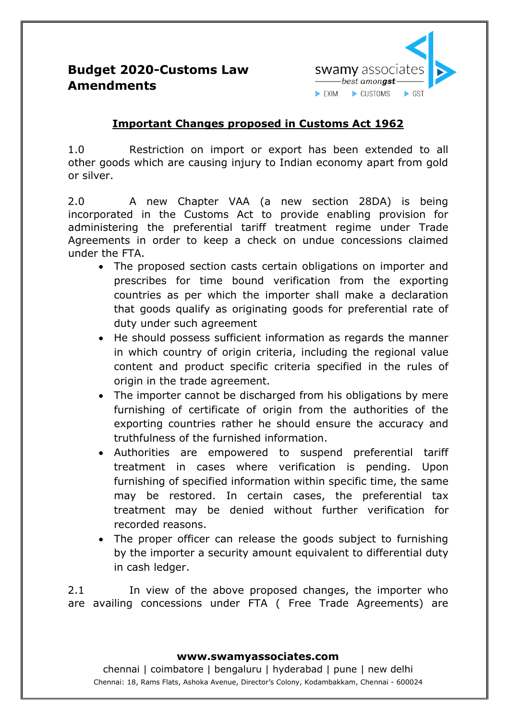

## **Budget 2020-Customs Law Amendments**

### **Important Changes proposed in Customs Act 1962**

1.0 Restriction on import or export has been extended to all other goods which are causing injury to Indian economy apart from gold or silver.

2.0 A new Chapter VAA (a new section 28DA) is being incorporated in the Customs Act to provide enabling provision for administering the preferential tariff treatment regime under Trade Agreements in order to keep a check on undue concessions claimed under the FTA.

- The proposed section casts certain obligations on importer and prescribes for time bound verification from the exporting countries as per which the importer shall make a declaration that goods qualify as originating goods for preferential rate of duty under such agreement
- He should possess sufficient information as regards the manner in which country of origin criteria, including the regional value content and product specific criteria specified in the rules of origin in the trade agreement.
- The importer cannot be discharged from his obligations by mere furnishing of certificate of origin from the authorities of the exporting countries rather he should ensure the accuracy and truthfulness of the furnished information.
- Authorities are empowered to suspend preferential tariff treatment in cases where verification is pending. Upon furnishing of specified information within specific time, the same may be restored. In certain cases, the preferential tax treatment may be denied without further verification for recorded reasons.
- The proper officer can release the goods subject to furnishing by the importer a security amount equivalent to differential duty in cash ledger.

2.1 In view of the above proposed changes, the importer who are availing concessions under FTA ( Free Trade Agreements) are

#### **www.swamyassociates.com**

chennai | coimbatore | bengaluru | hyderabad | pune | new delhi Chennai: 18, Rams Flats, Ashoka Avenue, Director's Colony, Kodambakkam, Chennai - 600024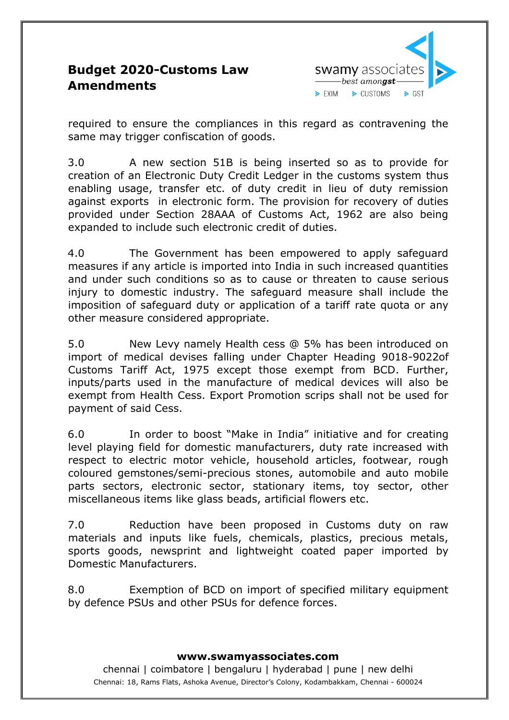### swamy associate  $\rule{1em}{0.15mm} \put(0,0) {\line(1,0){1}} \put(1.5,0) {\line(1,0){1}} \put(2.5,0) {\line(1,0){1}} \put(2.5,0) {\line(1,0){1}} \put(2.5,0) {\line(1,0){1}} \put(2.5,0) {\line(1,0){1}} \put(2.5,0) {\line(1,0){1}} \put(2.5,0) {\line(1,0){1}} \put(2.5,0) {\line(1,0){1}} \put(2.5,0) {\line(1,0){1}} \put(2.5,0) {\line(1,0){1}} \put(2.5,0) {\line($  $\triangleright$  EXIM > CUSTOMS  $\triangleright$  GST

## **Budget 2020-Customs Law Amendments**

required to ensure the compliances in this regard as contravening the same may trigger confiscation of goods.

3.0 A new section 51B is being inserted so as to provide for creation of an Electronic Duty Credit Ledger in the customs system thus enabling usage, transfer etc. of duty credit in lieu of duty remission against exports in electronic form. The provision for recovery of duties provided under Section 28AAA of Customs Act, 1962 are also being expanded to include such electronic credit of duties.

4.0 The Government has been empowered to apply safeguard measures if any article is imported into India in such increased quantities and under such conditions so as to cause or threaten to cause serious injury to domestic industry. The safeguard measure shall include the imposition of safeguard duty or application of a tariff rate quota or any other measure considered appropriate.

5.0 New Levy namely Health cess @ 5% has been introduced on import of medical devises falling under Chapter Heading 9018-9022of Customs Tariff Act, 1975 except those exempt from BCD. Further, inputs/parts used in the manufacture of medical devices will also be exempt from Health Cess. Export Promotion scrips shall not be used for payment of said Cess.

6.0 In order to boost "Make in India" initiative and for creating level playing field for domestic manufacturers, duty rate increased with respect to electric motor vehicle, household articles, footwear, rough coloured gemstones/semi-precious stones, automobile and auto mobile parts sectors, electronic sector, stationary items, toy sector, other miscellaneous items like glass beads, artificial flowers etc.

7.0 Reduction have been proposed in Customs duty on raw materials and inputs like fuels, chemicals, plastics, precious metals, sports goods, newsprint and lightweight coated paper imported by Domestic Manufacturers.

8.0 Exemption of BCD on import of specified military equipment by defence PSUs and other PSUs for defence forces.

#### **www.swamyassociates.com**

chennai | coimbatore | bengaluru | hyderabad | pune | new delhi Chennai: 18, Rams Flats, Ashoka Avenue, Director's Colony, Kodambakkam, Chennai - 600024